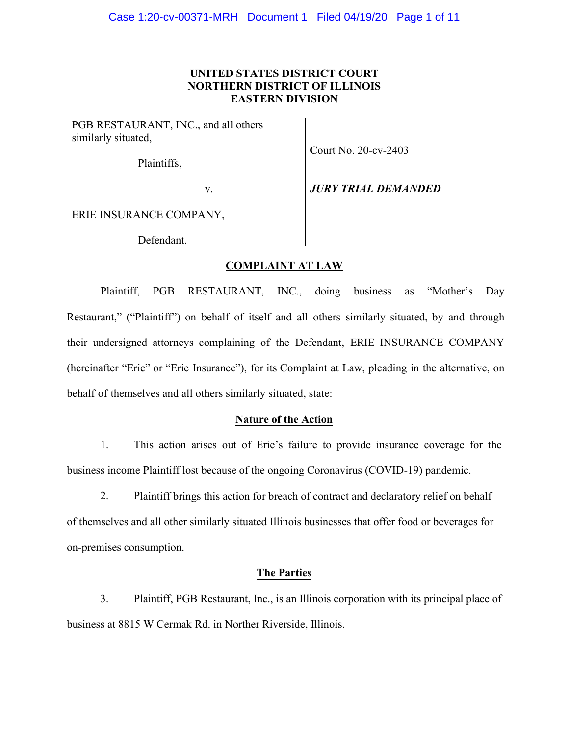# **UNITED STATES DISTRICT COURT NORTHERN DISTRICT OF ILLINOIS EASTERN DIVISION**

PGB RESTAURANT, INC., and all others similarly situated,

Plaintiffs,

Court No. 20-cv-2403

v. *JURY TRIAL DEMANDED*

ERIE INSURANCE COMPANY,

Defendant.

# **COMPLAINT AT LAW**

Plaintiff, PGB RESTAURANT, INC., doing business as "Mother's Day Restaurant," ("Plaintiff") on behalf of itself and all others similarly situated, by and through their undersigned attorneys complaining of the Defendant, ERIE INSURANCE COMPANY (hereinafter "Erie" or "Erie Insurance"), for its Complaint at Law, pleading in the alternative, on behalf of themselves and all others similarly situated, state:

## **Nature of the Action**

1. This action arises out of Erie's failure to provide insurance coverage for the business income Plaintiff lost because of the ongoing Coronavirus (COVID-19) pandemic.

2. Plaintiff brings this action for breach of contract and declaratory relief on behalf of themselves and all other similarly situated Illinois businesses that offer food or beverages for on-premises consumption.

### **The Parties**

3. Plaintiff, PGB Restaurant, Inc., is an Illinois corporation with its principal place of business at 8815 W Cermak Rd. in Norther Riverside, Illinois.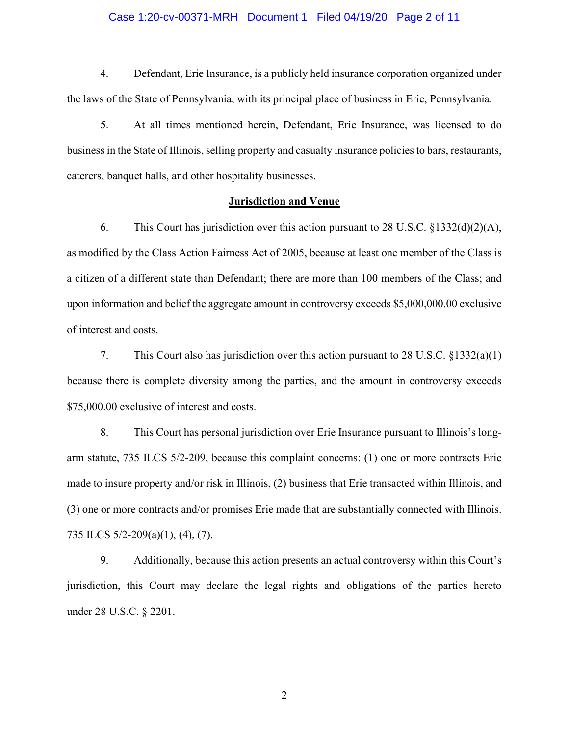#### Case 1:20-cv-00371-MRH Document 1 Filed 04/19/20 Page 2 of 11

4. Defendant, Erie Insurance, is a publicly held insurance corporation organized under the laws of the State of Pennsylvania, with its principal place of business in Erie, Pennsylvania.

5. At all times mentioned herein, Defendant, Erie Insurance, was licensed to do business in the State of Illinois, selling property and casualty insurance policies to bars, restaurants, caterers, banquet halls, and other hospitality businesses.

#### **Jurisdiction and Venue**

6. This Court has jurisdiction over this action pursuant to 28 U.S.C. §1332(d)(2)(A), as modified by the Class Action Fairness Act of 2005, because at least one member of the Class is a citizen of a different state than Defendant; there are more than 100 members of the Class; and upon information and belief the aggregate amount in controversy exceeds \$5,000,000.00 exclusive of interest and costs.

7. This Court also has jurisdiction over this action pursuant to 28 U.S.C. §1332(a)(1) because there is complete diversity among the parties, and the amount in controversy exceeds \$75,000.00 exclusive of interest and costs.

8. This Court has personal jurisdiction over Erie Insurance pursuant to Illinois's longarm statute, 735 ILCS 5/2-209, because this complaint concerns: (1) one or more contracts Erie made to insure property and/or risk in Illinois, (2) business that Erie transacted within Illinois, and (3) one or more contracts and/or promises Erie made that are substantially connected with Illinois. 735 ILCS 5/2-209(a)(1), (4), (7).

9. Additionally, because this action presents an actual controversy within this Court's jurisdiction, this Court may declare the legal rights and obligations of the parties hereto under 28 U.S.C. § 2201.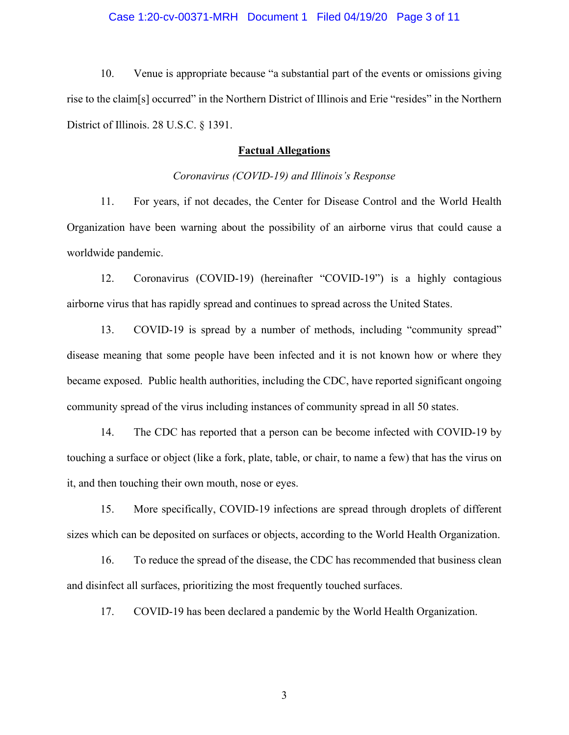#### Case 1:20-cv-00371-MRH Document 1 Filed 04/19/20 Page 3 of 11

10. Venue is appropriate because "a substantial part of the events or omissions giving rise to the claim[s] occurred" in the Northern District of Illinois and Erie "resides" in the Northern District of Illinois. 28 U.S.C. § 1391.

#### **Factual Allegations**

#### *Coronavirus (COVID-19) and Illinois's Response*

11. For years, if not decades, the Center for Disease Control and the World Health Organization have been warning about the possibility of an airborne virus that could cause a worldwide pandemic.

12. Coronavirus (COVID-19) (hereinafter "COVID-19") is a highly contagious airborne virus that has rapidly spread and continues to spread across the United States.

13. COVID-19 is spread by a number of methods, including "community spread" disease meaning that some people have been infected and it is not known how or where they became exposed. Public health authorities, including the CDC, have reported significant ongoing community spread of the virus including instances of community spread in all 50 states.

14. The CDC has reported that a person can be become infected with COVID-19 by touching a surface or object (like a fork, plate, table, or chair, to name a few) that has the virus on it, and then touching their own mouth, nose or eyes.

15. More specifically, COVID-19 infections are spread through droplets of different sizes which can be deposited on surfaces or objects, according to the World Health Organization.

16. To reduce the spread of the disease, the CDC has recommended that business clean and disinfect all surfaces, prioritizing the most frequently touched surfaces.

17. COVID-19 has been declared a pandemic by the World Health Organization.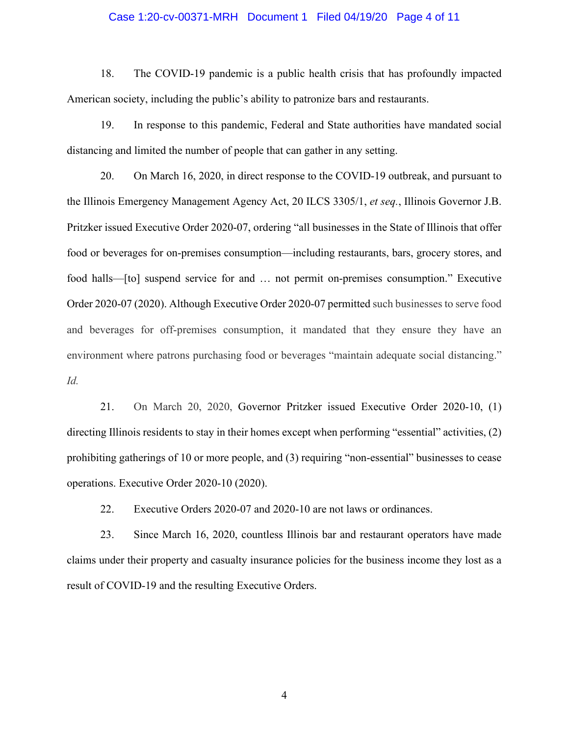#### Case 1:20-cv-00371-MRH Document 1 Filed 04/19/20 Page 4 of 11

18. The COVID-19 pandemic is a public health crisis that has profoundly impacted American society, including the public's ability to patronize bars and restaurants.

19. In response to this pandemic, Federal and State authorities have mandated social distancing and limited the number of people that can gather in any setting.

20. On March 16, 2020, in direct response to the COVID-19 outbreak, and pursuant to the Illinois Emergency Management Agency Act, 20 ILCS 3305/1, *et seq.*, Illinois Governor J.B. Pritzker issued Executive Order 2020-07, ordering "all businesses in the State of Illinois that offer food or beverages for on-premises consumption—including restaurants, bars, grocery stores, and food halls—[to] suspend service for and … not permit on-premises consumption." Executive Order 2020-07 (2020). Although Executive Order 2020-07 permitted such businesses to serve food and beverages for off-premises consumption, it mandated that they ensure they have an environment where patrons purchasing food or beverages "maintain adequate social distancing." *Id.* 

21. On March 20, 2020, Governor Pritzker issued Executive Order 2020-10, (1) directing Illinois residents to stay in their homes except when performing "essential" activities, (2) prohibiting gatherings of 10 or more people, and (3) requiring "non-essential" businesses to cease operations. Executive Order 2020-10 (2020).

22. Executive Orders 2020-07 and 2020-10 are not laws or ordinances.

23. Since March 16, 2020, countless Illinois bar and restaurant operators have made claims under their property and casualty insurance policies for the business income they lost as a result of COVID-19 and the resulting Executive Orders.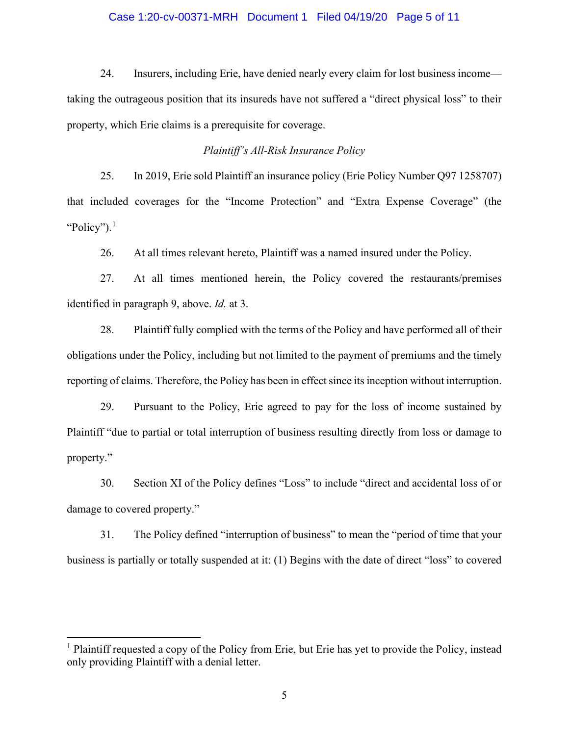#### Case 1:20-cv-00371-MRH Document 1 Filed 04/19/20 Page 5 of 11

24. Insurers, including Erie, have denied nearly every claim for lost business income taking the outrageous position that its insureds have not suffered a "direct physical loss" to their property, which Erie claims is a prerequisite for coverage.

### *Plaintiff's All-Risk Insurance Policy*

25. In 2019, Erie sold Plaintiff an insurance policy (Erie Policy Number Q97 1258707) that included coverages for the "Income Protection" and "Extra Expense Coverage" (the "Policy"). $<sup>1</sup>$  $<sup>1</sup>$  $<sup>1</sup>$ </sup>

26. At all times relevant hereto, Plaintiff was a named insured under the Policy.

27. At all times mentioned herein, the Policy covered the restaurants/premises identified in paragraph 9, above. *Id.* at 3.

28. Plaintiff fully complied with the terms of the Policy and have performed all of their obligations under the Policy, including but not limited to the payment of premiums and the timely reporting of claims. Therefore, the Policy has been in effect since its inception without interruption.

29. Pursuant to the Policy, Erie agreed to pay for the loss of income sustained by Plaintiff "due to partial or total interruption of business resulting directly from loss or damage to property."

30. Section XI of the Policy defines "Loss" to include "direct and accidental loss of or damage to covered property."

31. The Policy defined "interruption of business" to mean the "period of time that your business is partially or totally suspended at it: (1) Begins with the date of direct "loss" to covered

<span id="page-4-0"></span><sup>&</sup>lt;sup>1</sup> Plaintiff requested a copy of the Policy from Erie, but Erie has yet to provide the Policy, instead only providing Plaintiff with a denial letter.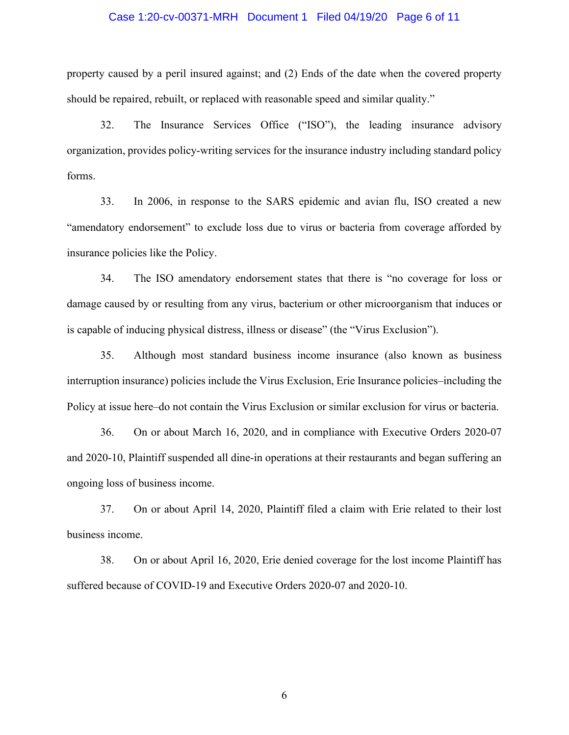#### Case 1:20-cv-00371-MRH Document 1 Filed 04/19/20 Page 6 of 11

property caused by a peril insured against; and (2) Ends of the date when the covered property should be repaired, rebuilt, or replaced with reasonable speed and similar quality."

32. The Insurance Services Office ("ISO"), the leading insurance advisory organization, provides policy-writing services for the insurance industry including standard policy forms.

33. In 2006, in response to the SARS epidemic and avian flu, ISO created a new "amendatory endorsement" to exclude loss due to virus or bacteria from coverage afforded by insurance policies like the Policy.

34. The ISO amendatory endorsement states that there is "no coverage for loss or damage caused by or resulting from any virus, bacterium or other microorganism that induces or is capable of inducing physical distress, illness or disease" (the "Virus Exclusion").

35. Although most standard business income insurance (also known as business interruption insurance) policies include the Virus Exclusion, Erie Insurance policies–including the Policy at issue here–do not contain the Virus Exclusion or similar exclusion for virus or bacteria.

36. On or about March 16, 2020, and in compliance with Executive Orders 2020-07 and 2020-10, Plaintiff suspended all dine-in operations at their restaurants and began suffering an ongoing loss of business income.

37. On or about April 14, 2020, Plaintiff filed a claim with Erie related to their lost business income.

38. On or about April 16, 2020, Erie denied coverage for the lost income Plaintiff has suffered because of COVID-19 and Executive Orders 2020-07 and 2020-10.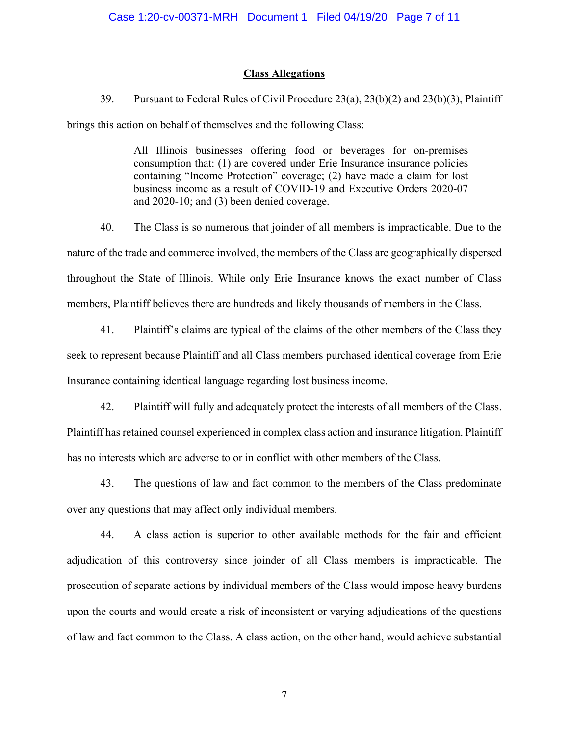#### **Class Allegations**

39. Pursuant to Federal Rules of Civil Procedure 23(a), 23(b)(2) and 23(b)(3), Plaintiff brings this action on behalf of themselves and the following Class:

> All Illinois businesses offering food or beverages for on-premises consumption that: (1) are covered under Erie Insurance insurance policies containing "Income Protection" coverage; (2) have made a claim for lost business income as a result of COVID-19 and Executive Orders 2020-07 and 2020-10; and (3) been denied coverage.

40. The Class is so numerous that joinder of all members is impracticable. Due to the nature of the trade and commerce involved, the members of the Class are geographically dispersed throughout the State of Illinois. While only Erie Insurance knows the exact number of Class members, Plaintiff believes there are hundreds and likely thousands of members in the Class.

41. Plaintiff's claims are typical of the claims of the other members of the Class they seek to represent because Plaintiff and all Class members purchased identical coverage from Erie Insurance containing identical language regarding lost business income.

42. Plaintiff will fully and adequately protect the interests of all members of the Class. Plaintiff has retained counsel experienced in complex class action and insurance litigation. Plaintiff has no interests which are adverse to or in conflict with other members of the Class.

43. The questions of law and fact common to the members of the Class predominate over any questions that may affect only individual members.

44. A class action is superior to other available methods for the fair and efficient adjudication of this controversy since joinder of all Class members is impracticable. The prosecution of separate actions by individual members of the Class would impose heavy burdens upon the courts and would create a risk of inconsistent or varying adjudications of the questions of law and fact common to the Class. A class action, on the other hand, would achieve substantial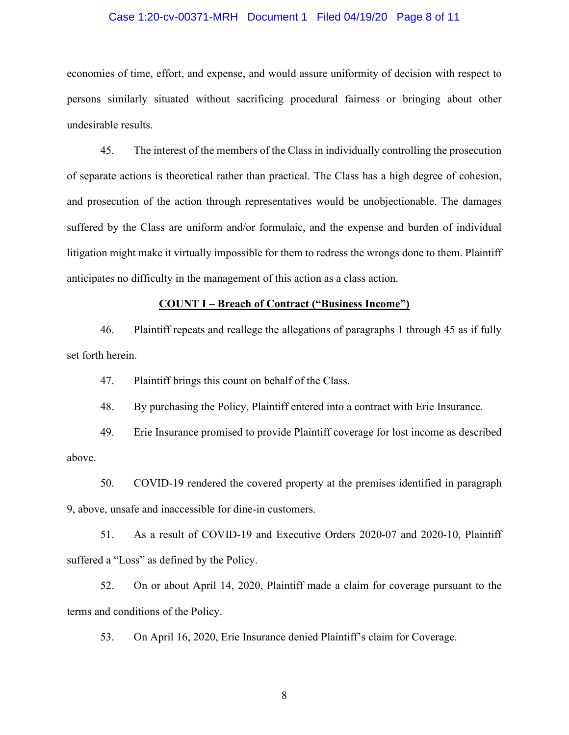#### Case 1:20-cv-00371-MRH Document 1 Filed 04/19/20 Page 8 of 11

economies of time, effort, and expense, and would assure uniformity of decision with respect to persons similarly situated without sacrificing procedural fairness or bringing about other undesirable results.

45. The interest of the members of the Class in individually controlling the prosecution of separate actions is theoretical rather than practical. The Class has a high degree of cohesion, and prosecution of the action through representatives would be unobjectionable. The damages suffered by the Class are uniform and/or formulaic, and the expense and burden of individual litigation might make it virtually impossible for them to redress the wrongs done to them. Plaintiff anticipates no difficulty in the management of this action as a class action.

#### **COUNT I – Breach of Contract ("Business Income")**

46. Plaintiff repeats and reallege the allegations of paragraphs 1 through 45 as if fully set forth herein.

47. Plaintiff brings this count on behalf of the Class.

48. By purchasing the Policy, Plaintiff entered into a contract with Erie Insurance.

49. Erie Insurance promised to provide Plaintiff coverage for lost income as described above.

50. COVID-19 rendered the covered property at the premises identified in paragraph 9, above, unsafe and inaccessible for dine-in customers.

51. As a result of COVID-19 and Executive Orders 2020-07 and 2020-10, Plaintiff suffered a "Loss" as defined by the Policy.

52. On or about April 14, 2020, Plaintiff made a claim for coverage pursuant to the terms and conditions of the Policy.

53. On April 16, 2020, Erie Insurance denied Plaintiff's claim for Coverage.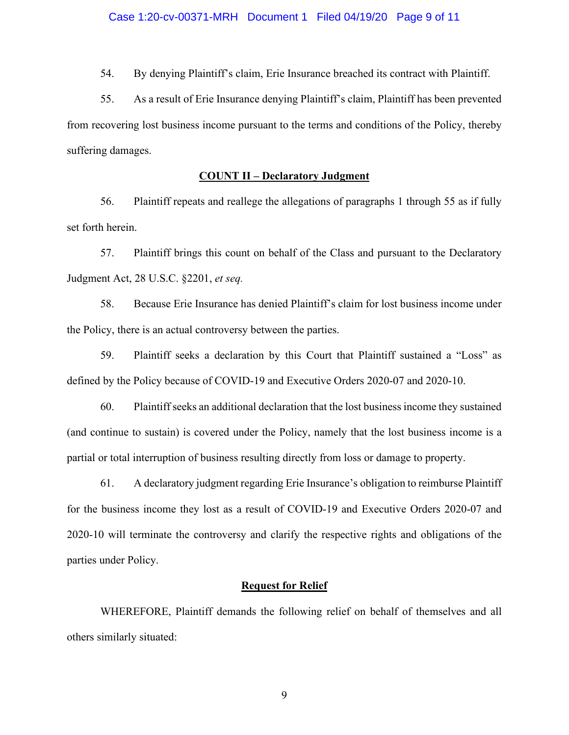54. By denying Plaintiff's claim, Erie Insurance breached its contract with Plaintiff.

55. As a result of Erie Insurance denying Plaintiff's claim, Plaintiff has been prevented from recovering lost business income pursuant to the terms and conditions of the Policy, thereby suffering damages.

#### **COUNT II – Declaratory Judgment**

56. Plaintiff repeats and reallege the allegations of paragraphs 1 through 55 as if fully set forth herein.

57. Plaintiff brings this count on behalf of the Class and pursuant to the Declaratory Judgment Act, 28 U.S.C. §2201, *et seq.*

58. Because Erie Insurance has denied Plaintiff's claim for lost business income under the Policy, there is an actual controversy between the parties.

59. Plaintiff seeks a declaration by this Court that Plaintiff sustained a "Loss" as defined by the Policy because of COVID-19 and Executive Orders 2020-07 and 2020-10.

60. Plaintiff seeks an additional declaration that the lost business income they sustained (and continue to sustain) is covered under the Policy, namely that the lost business income is a partial or total interruption of business resulting directly from loss or damage to property.

61. A declaratory judgment regarding Erie Insurance's obligation to reimburse Plaintiff for the business income they lost as a result of COVID-19 and Executive Orders 2020-07 and 2020-10 will terminate the controversy and clarify the respective rights and obligations of the parties under Policy.

# **Request for Relief**

WHEREFORE, Plaintiff demands the following relief on behalf of themselves and all others similarly situated: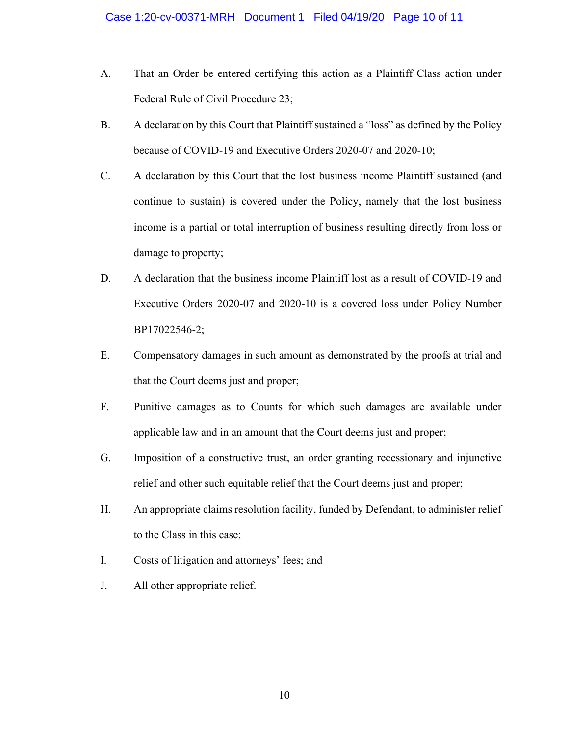- A. That an Order be entered certifying this action as a Plaintiff Class action under Federal Rule of Civil Procedure 23;
- B. A declaration by this Court that Plaintiff sustained a "loss" as defined by the Policy because of COVID-19 and Executive Orders 2020-07 and 2020-10;
- C. A declaration by this Court that the lost business income Plaintiff sustained (and continue to sustain) is covered under the Policy, namely that the lost business income is a partial or total interruption of business resulting directly from loss or damage to property;
- D. A declaration that the business income Plaintiff lost as a result of COVID-19 and Executive Orders 2020-07 and 2020-10 is a covered loss under Policy Number BP17022546-2;
- E. Compensatory damages in such amount as demonstrated by the proofs at trial and that the Court deems just and proper;
- F. Punitive damages as to Counts for which such damages are available under applicable law and in an amount that the Court deems just and proper;
- G. Imposition of a constructive trust, an order granting recessionary and injunctive relief and other such equitable relief that the Court deems just and proper;
- H. An appropriate claims resolution facility, funded by Defendant, to administer relief to the Class in this case;
- I. Costs of litigation and attorneys' fees; and
- J. All other appropriate relief.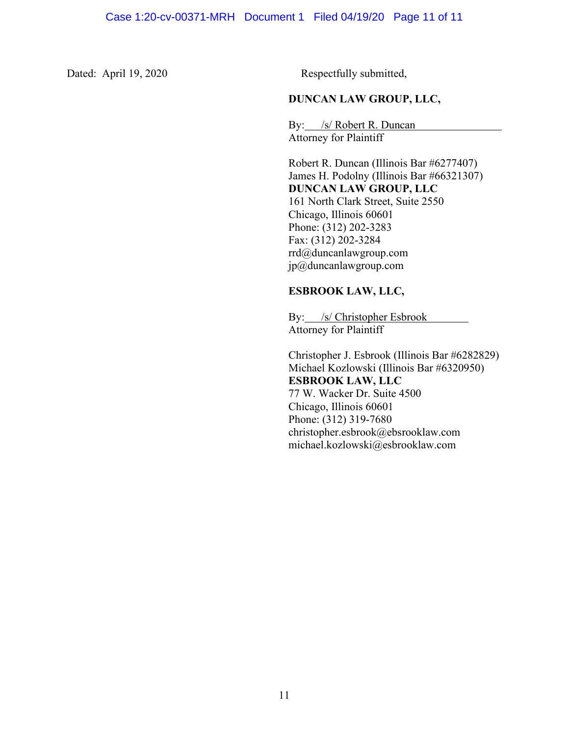Dated: April 19, 2020 Respectfully submitted,

# **DUNCAN LAW GROUP, LLC,**

By: /s/ Robert R. Duncan Attorney for Plaintiff

Robert R. Duncan (Illinois Bar #6277407) James H. Podolny (Illinois Bar #66321307) **DUNCAN LAW GROUP, LLC** 161 North Clark Street, Suite 2550 Chicago, Illinois 60601 Phone: (312) 202-3283 Fax: (312) 202-3284 rrd@duncanlawgroup.com [jp@duncanlawgroup.com](mailto:jp@duncanlawgroup.com)

# **ESBROOK LAW, LLC,**

By: /s/ Christopher Esbrook Attorney for Plaintiff

Christopher J. Esbrook (Illinois Bar #6282829) Michael Kozlowski (Illinois Bar #6320950) **ESBROOK LAW, LLC** 77 W. Wacker Dr. Suite 4500 Chicago, Illinois 60601 Phone: (312) 319-7680 christopher.esbrook@ebsrooklaw.com michael.kozlowski@esbrooklaw.com